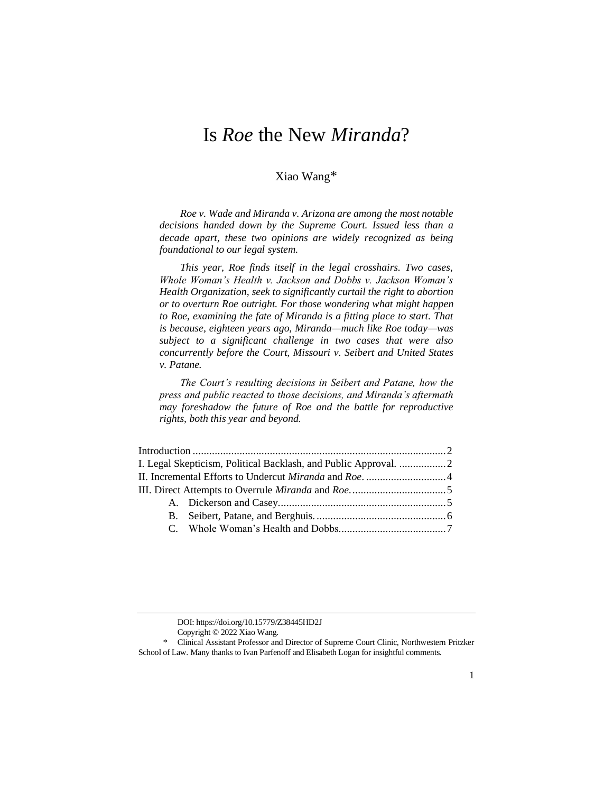# Is *Roe* the New *Miranda*?

# Xiao Wang\*

*Roe v. Wade and Miranda v. Arizona are among the most notable decisions handed down by the Supreme Court. Issued less than a decade apart, these two opinions are widely recognized as being foundational to our legal system.*

*This year, Roe finds itself in the legal crosshairs. Two cases, Whole Woman's Health v. Jackson and Dobbs v. Jackson Woman's Health Organization, seek to significantly curtail the right to abortion or to overturn Roe outright. For those wondering what might happen to Roe, examining the fate of Miranda is a fitting place to start. That is because, eighteen years ago, Miranda—much like Roe today—was subject to a significant challenge in two cases that were also concurrently before the Court, Missouri v. Seibert and United States v. Patane.*

*The Court's resulting decisions in Seibert and Patane, how the press and public reacted to those decisions, and Miranda's aftermath may foreshadow the future of Roe and the battle for reproductive rights, both this year and beyond.*

| I. Legal Skepticism, Political Backlash, and Public Approval. |  |  |
|---------------------------------------------------------------|--|--|
|                                                               |  |  |
|                                                               |  |  |
|                                                               |  |  |
|                                                               |  |  |
|                                                               |  |  |
|                                                               |  |  |

DOI: https://doi.org/10.15779/Z38445HD2J

Copyright © 2022 Xiao Wang.

<sup>\*</sup> Clinical Assistant Professor and Director of Supreme Court Clinic, Northwestern Pritzker School of Law. Many thanks to Ivan Parfenoff and Elisabeth Logan for insightful comments.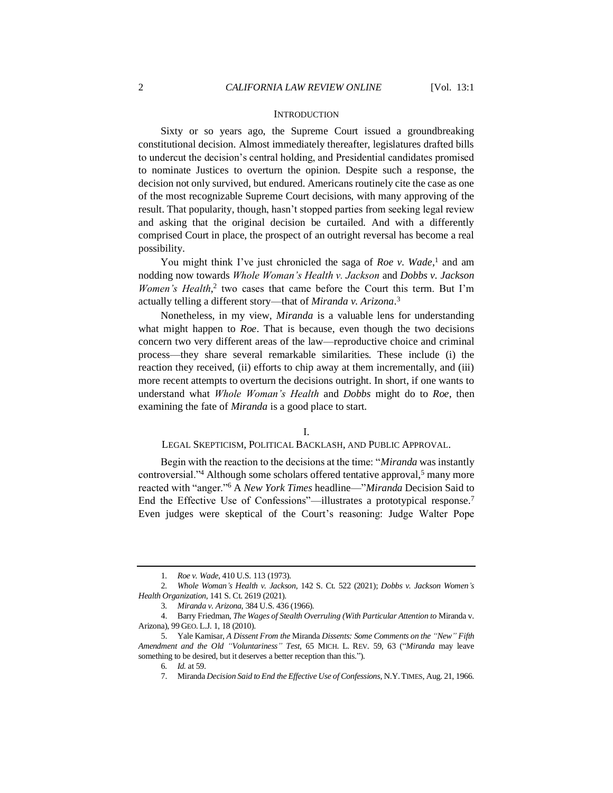#### **INTRODUCTION**

Sixty or so years ago, the Supreme Court issued a groundbreaking constitutional decision. Almost immediately thereafter, legislatures drafted bills to undercut the decision's central holding, and Presidential candidates promised to nominate Justices to overturn the opinion. Despite such a response, the decision not only survived, but endured. Americans routinely cite the case as one of the most recognizable Supreme Court decisions, with many approving of the result. That popularity, though, hasn't stopped parties from seeking legal review and asking that the original decision be curtailed. And with a differently comprised Court in place, the prospect of an outright reversal has become a real possibility.

You might think I've just chronicled the saga of *Roe v. Wade*,<sup>1</sup> and am nodding now towards *Whole Woman's Health v. Jackson* and *Dobbs v. Jackson*  Women's Health,<sup>2</sup> two cases that came before the Court this term. But I'm actually telling a different story—that of *Miranda v. Arizona*. 3

Nonetheless, in my view, *Miranda* is a valuable lens for understanding what might happen to *Roe*. That is because, even though the two decisions concern two very different areas of the law—reproductive choice and criminal process—they share several remarkable similarities. These include (i) the reaction they received, (ii) efforts to chip away at them incrementally, and (iii) more recent attempts to overturn the decisions outright. In short, if one wants to understand what *Whole Woman's Health* and *Dobbs* might do to *Roe*, then examining the fate of *Miranda* is a good place to start.

I.

<span id="page-1-0"></span>LEGAL SKEPTICISM, POLITICAL BACKLASH, AND PUBLIC APPROVAL.

Begin with the reaction to the decisions at the time: "*Miranda* was instantly controversial."<sup>4</sup> Although some scholars offered tentative approval,<sup>5</sup> many more reacted with "anger."<sup>6</sup> A *New York Times* headline—"*Miranda* Decision Said to End the Effective Use of Confessions"—illustrates a prototypical response.<sup>7</sup> Even judges were skeptical of the Court's reasoning: Judge Walter Pope

<sup>1</sup>*. Roe v. Wade*, 410 U.S. 113 (1973).

<sup>2</sup>*. Whole Woman's Health v. Jackson*, 142 S. Ct. 522 (2021); *Dobbs v. Jackson Women's Health Organization*, 141 S. Ct. 2619 (2021).

<sup>3</sup>*. Miranda v. Arizona*, 384 U.S. 436 (1966).

<sup>4.</sup> Barry Friedman, *The Wages of Stealth Overruling (With Particular Attention to* Miranda v. Arizona), 99 GEO. L.J. 1, 18 (2010).

<sup>5.</sup> Yale Kamisar, *A Dissent From the* Miranda *Dissents: Some Comments on the "New" Fifth Amendment and the Old "Voluntariness" Test*, 65 MICH. L. REV. 59, 63 ("*Miranda* may leave something to be desired, but it deserves a better reception than this.").

<sup>6</sup>*. Id.* at 59.

<sup>7.</sup> Miranda *Decision Said to End the Effective Use of Confessions*, N.Y.TIMES, Aug. 21, 1966.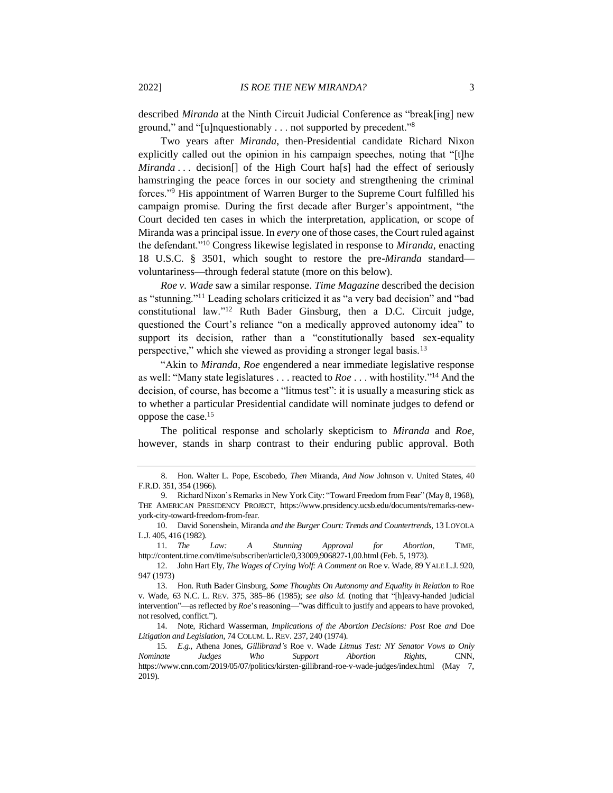described *Miranda* at the Ninth Circuit Judicial Conference as "break[ing] new ground," and "[u]nquestionably . . . not supported by precedent."<sup>8</sup>

Two years after *Miranda*, then-Presidential candidate Richard Nixon explicitly called out the opinion in his campaign speeches, noting that "[t]he *Miranda . . .* decision[] of the High Court ha[s] had the effect of seriously hamstringing the peace forces in our society and strengthening the criminal forces."<sup>9</sup> His appointment of Warren Burger to the Supreme Court fulfilled his campaign promise. During the first decade after Burger's appointment, "the Court decided ten cases in which the interpretation, application, or scope of Miranda was a principal issue. In *every* one of those cases, the Court ruled against the defendant."<sup>10</sup> Congress likewise legislated in response to *Miranda*, enacting 18 U.S.C. § 3501, which sought to restore the pre-*Miranda* standard voluntariness—through federal statute (more on this below).

<span id="page-2-0"></span>*Roe v. Wade* saw a similar response. *Time Magazine* described the decision as "stunning."<sup>11</sup> Leading scholars criticized it as "a very bad decision" and "bad constitutional law."<sup>12</sup> Ruth Bader Ginsburg, then a D.C. Circuit judge, questioned the Court's reliance "on a medically approved autonomy idea" to support its decision, rather than a "constitutionally based sex-equality perspective," which she viewed as providing a stronger legal basis.<sup>13</sup>

"Akin to *Miranda*, *Roe* engendered a near immediate legislative response as well: "Many state legislatures . . . reacted to *Roe* . . . with hostility."<sup>14</sup> And the decision, of course, has become a "litmus test": it is usually a measuring stick as to whether a particular Presidential candidate will nominate judges to defend or oppose the case.<sup>15</sup>

The political response and scholarly skepticism to *Miranda* and *Roe*, however, stands in sharp contrast to their enduring public approval. Both

11*. The Law: A Stunning Approval for Abortion*, TIME, http://content.time.com/time/subscriber/article/0,33009,906827-1,00.html (Feb. 5, 1973).

12. John Hart Ely, *The Wages of Crying Wolf: A Comment on* Roe v. Wade, 89 YALE L.J. 920, 947 (1973)

<sup>8.</sup> Hon. Walter L. Pope, Escobedo, *Then* Miranda, *And Now* Johnson v. United States, 40 F.R.D. 351, 354 (1966).

<sup>9.</sup> Richard Nixon's Remarks in New York City: "Toward Freedom from Fear" (May 8, 1968), THE AMERICAN PRESIDENCY PROJECT, https://www.presidency.ucsb.edu/documents/remarks-newyork-city-toward-freedom-from-fear.

<sup>10.</sup> David Sonenshein, Miranda *and the Burger Court: Trends and Countertrends*, 13 LOYOLA L.J. 405, 416 (1982).

<sup>13.</sup> Hon. Ruth Bader Ginsburg, *Some Thoughts On Autonomy and Equality in Relation to* Roe v. Wade, 63 N.C. L. REV. 375, 385–86 (1985); *see also id.* (noting that "[h]eavy-handed judicial intervention"—as reflected by *Roe*'s reasoning—"was difficult to justify and appears to have provoked, not resolved, conflict.").

<sup>14.</sup> Note, Richard Wasserman, *Implications of the Abortion Decisions: Post* Roe *and* Doe *Litigation and Legislation*, 74 COLUM. L.REV. 237, 240 (1974).

<sup>15</sup>*. E.g.*, Athena Jones, *Gillibrand's* Roe v. Wade *Litmus Test: NY Senator Vows to Only Nominate Judges Who Support Abortion Rights*, CNN, https://www.cnn.com/2019/05/07/politics/kirsten-gillibrand-roe-v-wade-judges/index.html (May 7, 2019).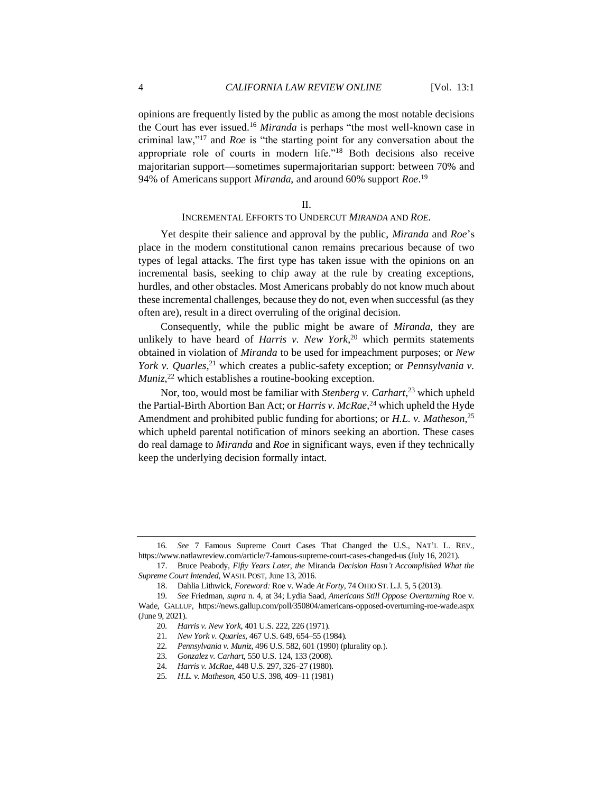opinions are frequently listed by the public as among the most notable decisions the Court has ever issued.<sup>16</sup> *Miranda* is perhaps "the most well-known case in criminal law,"<sup>17</sup> and *Roe* is "the starting point for any conversation about the appropriate role of courts in modern life."<sup>18</sup> Both decisions also receive majoritarian support—sometimes supermajoritarian support: between 70% and 94% of Americans support *Miranda*, and around 60% support *Roe*. 19

### II.

# INCREMENTAL EFFORTS TO UNDERCUT *MIRANDA* AND *ROE*.

Yet despite their salience and approval by the public, *Miranda* and *Roe*'s place in the modern constitutional canon remains precarious because of two types of legal attacks. The first type has taken issue with the opinions on an incremental basis, seeking to chip away at the rule by creating exceptions, hurdles, and other obstacles. Most Americans probably do not know much about these incremental challenges, because they do not, even when successful (as they often are), result in a direct overruling of the original decision.

Consequently, while the public might be aware of *Miranda*, they are unlikely to have heard of *Harris v. New York*, <sup>20</sup> which permits statements obtained in violation of *Miranda* to be used for impeachment purposes; or *New York v. Quarles*,<sup>21</sup> which creates a public-safety exception; or *Pennsylvania v. Muniz*, <sup>22</sup> which establishes a routine-booking exception.

Nor, too, would most be familiar with *Stenberg v. Carhart*, <sup>23</sup> which upheld the Partial-Birth Abortion Ban Act; or *Harris v. McRae*, <sup>24</sup> which upheld the Hyde Amendment and prohibited public funding for abortions; or *H.L. v. Matheson*, 25 which upheld parental notification of minors seeking an abortion. These cases do real damage to *Miranda* and *Roe* in significant ways, even if they technically keep the underlying decision formally intact.

<sup>16</sup>*. See* 7 Famous Supreme Court Cases That Changed the U.S., NAT'L L. REV., https://www.natlawreview.com/article/7-famous-supreme-court-cases-changed-us (July 16, 2021).

<sup>17.</sup> Bruce Peabody, *Fifty Years Later, the* Miranda *Decision Hasn't Accomplished What the Supreme Court Intended*, WASH. POST, June 13, 2016.

<sup>18.</sup> Dahlia Lithwick, *Foreword:* Roe v. Wade *At Forty*, 74 OHIO ST. L.J. 5, 5 (2013).

<sup>19</sup>*. See* Friedman, *supra* n[. 4,](#page-1-0) at 34; Lydia Saad, *Americans Still Oppose Overturning* Roe v. Wade, GALLUP, https://news.gallup.com/poll/350804/americans-opposed-overturning-roe-wade.aspx (June 9, 2021).

<sup>20</sup>*. Harris v. New York*, 401 U.S. 222, 226 (1971).

<sup>21</sup>*. New York v. Quarles*, 467 U.S. 649, 654–55 (1984).

<sup>22</sup>*. Pennsylvania v. Muniz*, 496 U.S. 582, 601 (1990) (plurality op.).

<sup>23</sup>*. Gonzalez v. Carhart*, 550 U.S. 124, 133 (2008).

<sup>24</sup>*. Harris v. McRae*, 448 U.S. 297, 326–27 (1980).

<sup>25</sup>*. H.L. v. Matheson*, 450 U.S. 398, 409–11 (1981)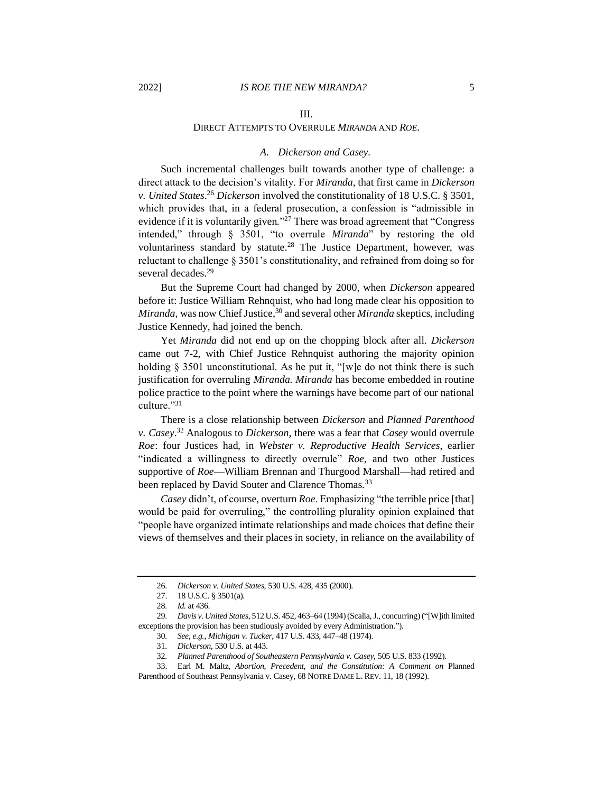#### III.

## DIRECT ATTEMPTS TO OVERRULE *MIRANDA* AND *ROE*.

#### *A. Dickerson and Casey.*

Such incremental challenges built towards another type of challenge: a direct attack to the decision's vitality. For *Miranda*, that first came in *Dickerson v. United States*. <sup>26</sup> *Dickerson* involved the constitutionality of 18 U.S.C. § 3501, which provides that, in a federal prosecution, a confession is "admissible in evidence if it is voluntarily given*.*" <sup>27</sup> There was broad agreement that "Congress intended," through § 3501, "to overrule *Miranda*" by restoring the old voluntariness standard by statute.<sup>28</sup> The Justice Department, however, was reluctant to challenge § 3501's constitutionality, and refrained from doing so for several decades.<sup>29</sup>

But the Supreme Court had changed by 2000, when *Dickerson* appeared before it: Justice William Rehnquist, who had long made clear his opposition to *Miranda*, was now Chief Justice,<sup>30</sup> and several other *Miranda* skeptics, including Justice Kennedy, had joined the bench.

Yet *Miranda* did not end up on the chopping block after all. *Dickerson*  came out 7-2, with Chief Justice Rehnquist authoring the majority opinion holding § 3501 unconstitutional. As he put it, "[w]e do not think there is such justification for overruling *Miranda. Miranda* has become embedded in routine police practice to the point where the warnings have become part of our national culture."31

There is a close relationship between *Dickerson* and *Planned Parenthood v. Casey*. <sup>32</sup> Analogous to *Dickerson*, there was a fear that *Casey* would overrule *Roe*: four Justices had, in *Webster v. Reproductive Health Services*, earlier "indicated a willingness to directly overrule" *Roe*, and two other Justices supportive of *Roe*—William Brennan and Thurgood Marshall—had retired and been replaced by David Souter and Clarence Thomas.<sup>33</sup>

*Casey* didn't, of course, overturn *Roe*. Emphasizing "the terrible price [that] would be paid for overruling," the controlling plurality opinion explained that "people have organized intimate relationships and made choices that define their views of themselves and their places in society, in reliance on the availability of

<sup>26</sup>*. Dickerson v. United States*, 530 U.S. 428, 435 (2000).

<sup>27.</sup> 18 U.S.C. § 3501(a).

<sup>28</sup>*. Id.* at 436.

<sup>29</sup>*. Davis v. United States*, 512 U.S. 452, 463–64 (1994) (Scalia, J., concurring) ("[W]ith limited exceptions the provision has been studiously avoided by every Administration.").

<sup>30</sup>*. See, e.g.*, *Michigan v. Tucker*, 417 U.S. 433, 447–48 (1974).

<sup>31</sup>*. Dickerson*, 530 U.S. at 443.

<sup>32</sup>*. Planned Parenthood of Southeastern Pennsylvania v. Casey*, 505 U.S. 833 (1992).

<sup>33.</sup> Earl M. Maltz, *Abortion, Precedent, and the Constitution: A Comment on* Planned Parenthood of Southeast Pennsylvania v. Casey, 68 NOTRE DAME L. REV. 11, 18 (1992).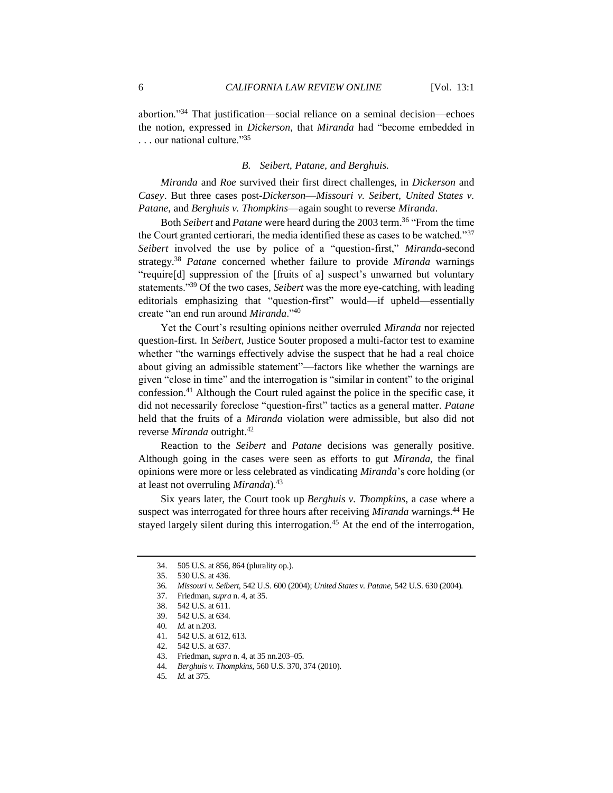abortion."<sup>34</sup> That justification—social reliance on a seminal decision—echoes the notion, expressed in *Dickerson*, that *Miranda* had "become embedded in  $\ldots$  our national culture."<sup>35</sup>

#### *B. Seibert, Patane, and Berghuis.*

*Miranda* and *Roe* survived their first direct challenges, in *Dickerson* and *Casey*. But three cases post-*Dickerson*—*Missouri v. Seibert*, *United States v. Patane*, and *Berghuis v. Thompkins*—again sought to reverse *Miranda*.

Both *Seibert* and *Patane* were heard during the 2003 term.<sup>36</sup> "From the time the Court granted certiorari, the media identified these as cases to be watched."<sup>37</sup> *Seibert* involved the use by police of a "question-first," *Miranda*-second strategy.<sup>38</sup> *Patane* concerned whether failure to provide *Miranda* warnings "require[d] suppression of the [fruits of a] suspect's unwarned but voluntary statements."<sup>39</sup> Of the two cases, *Seibert* was the more eye-catching, with leading editorials emphasizing that "question-first" would—if upheld—essentially create "an end run around *Miranda*."<sup>40</sup>

Yet the Court's resulting opinions neither overruled *Miranda* nor rejected question-first. In *Seibert*, Justice Souter proposed a multi-factor test to examine whether "the warnings effectively advise the suspect that he had a real choice about giving an admissible statement"—factors like whether the warnings are given "close in time" and the interrogation is "similar in content" to the original confession.<sup>41</sup> Although the Court ruled against the police in the specific case, it did not necessarily foreclose "question-first" tactics as a general matter. *Patane*  held that the fruits of a *Miranda* violation were admissible, but also did not reverse *Miranda* outright.<sup>42</sup>

Reaction to the *Seibert* and *Patane* decisions was generally positive. Although going in the cases were seen as efforts to gut *Miranda*, the final opinions were more or less celebrated as vindicating *Miranda*'s core holding (or at least not overruling *Miranda*).<sup>43</sup>

Six years later, the Court took up *Berghuis v. Thompkins*, a case where a suspect was interrogated for three hours after receiving *Miranda* warnings.<sup>44</sup> He stayed largely silent during this interrogation.<sup>45</sup> At the end of the interrogation,

<sup>34.</sup> 505 U.S. at 856, 864 (plurality op.).

<sup>35.</sup> 530 U.S. at 436.

<sup>36</sup>*. Missouri v. Seibert*, 542 U.S. 600 (2004); *United States v. Patane*, 542 U.S. 630 (2004).

<sup>37.</sup> Friedman, *supra* n[. 4,](#page-1-0) at 35.

<sup>38.</sup> 542 U.S. at 611.

<sup>39.</sup> 542 U.S. at 634.

<sup>40</sup>*. Id.* at n.203.

<sup>41.</sup> 542 U.S. at 612, 613.

<sup>42.</sup> 542 U.S. at 637.

<sup>43.</sup> Friedman, *supra* n[. 4,](#page-1-0) at 35 nn.203–05.

<sup>44</sup>*. Berghuis v. Thompkins*, 560 U.S. 370, 374 (2010).

<sup>45</sup>*. Id.* at 375.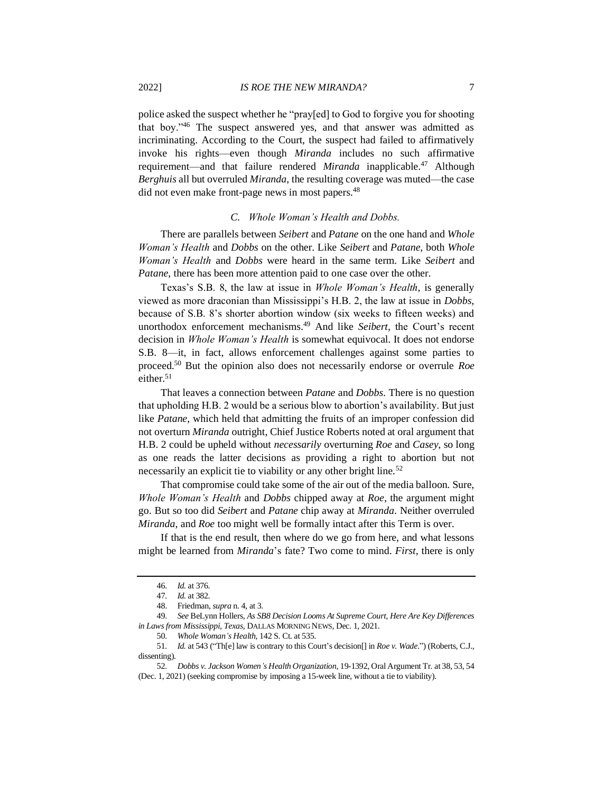police asked the suspect whether he "pray[ed] to God to forgive you for shooting that boy."<sup>46</sup> The suspect answered yes, and that answer was admitted as incriminating. According to the Court, the suspect had failed to affirmatively invoke his rights—even though *Miranda* includes no such affirmative requirement—and that failure rendered *Miranda* inapplicable.<sup>47</sup> Although *Berghuis* all but overruled *Miranda*, the resulting coverage was muted—the case did not even make front-page news in most papers.<sup>48</sup>

#### *C. Whole Woman's Health and Dobbs.*

There are parallels between *Seibert* and *Patane* on the one hand and *Whole Woman's Health* and *Dobbs* on the other. Like *Seibert* and *Patane*, both *Whole Woman's Health* and *Dobbs* were heard in the same term. Like *Seibert* and *Patane*, there has been more attention paid to one case over the other.

Texas's S.B. 8, the law at issue in *Whole Woman's Health*, is generally viewed as more draconian than Mississippi's H.B. 2, the law at issue in *Dobbs*, because of S.B. 8's shorter abortion window (six weeks to fifteen weeks) and unorthodox enforcement mechanisms.<sup>49</sup> And like *Seibert*, the Court's recent decision in *Whole Woman's Health* is somewhat equivocal. It does not endorse S.B. 8—it, in fact, allows enforcement challenges against some parties to proceed.<sup>50</sup> But the opinion also does not necessarily endorse or overrule *Roe*  either. $51$ 

That leaves a connection between *Patane* and *Dobbs*. There is no question that upholding H.B. 2 would be a serious blow to abortion's availability. But just like *Patane*, which held that admitting the fruits of an improper confession did not overturn *Miranda* outright, Chief Justice Roberts noted at oral argument that H.B. 2 could be upheld without *necessarily* overturning *Roe* and *Casey*, so long as one reads the latter decisions as providing a right to abortion but not necessarily an explicit tie to viability or any other bright line.<sup>52</sup>

That compromise could take some of the air out of the media balloon. Sure, *Whole Woman's Health* and *Dobbs* chipped away at *Roe*, the argument might go. But so too did *Seibert* and *Patane* chip away at *Miranda*. Neither overruled *Miranda*, and *Roe* too might well be formally intact after this Term is over.

If that is the end result, then where do we go from here, and what lessons might be learned from *Miranda*'s fate? Two come to mind. *First*, there is only

<sup>46</sup>*. Id.* at 376.

<sup>47</sup>*. Id.* at 382.

<sup>48.</sup> Friedman, *supra* n[. 4,](#page-1-0) at 3.

<sup>49</sup>*. See* BeLynn Hollers, *As SB8 Decision Looms At Supreme Court, Here Are Key Differences in Laws from Mississippi, Texas*, DALLAS MORNING NEWS, Dec. 1, 2021.

<sup>50</sup>*. Whole Woman's Health*, 142 S. Ct. at 535.

<sup>51</sup>*. Id.* at 543 ("Th[e] law is contrary to this Court's decision[] in *Roe v. Wade*.") (Roberts, C.J., dissenting).

<sup>52</sup>*. Dobbs v. Jackson Women's Health Organization*, 19-1392, Oral Argument Tr. at 38, 53, 54 (Dec. 1, 2021) (seeking compromise by imposing a 15-week line, without a tie to viability).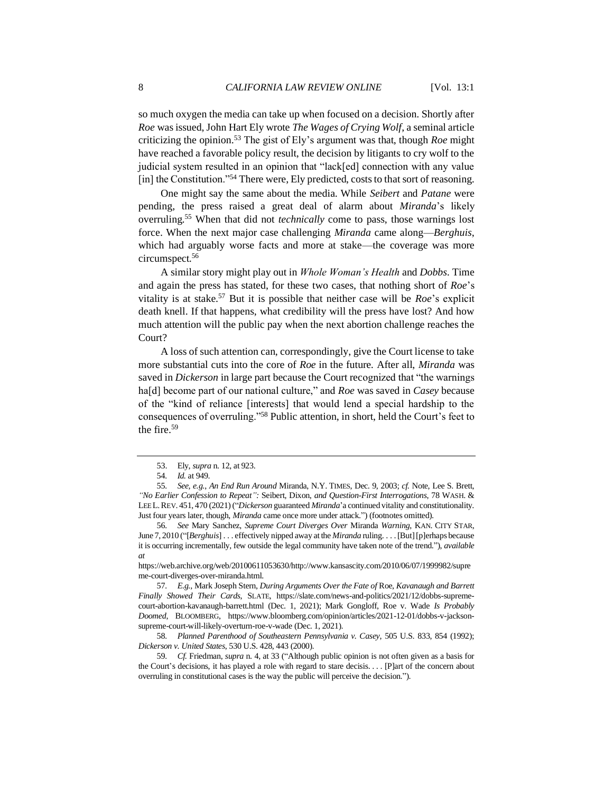so much oxygen the media can take up when focused on a decision. Shortly after *Roe* was issued, John Hart Ely wrote *The Wages of Crying Wolf*, a seminal article criticizing the opinion.<sup>53</sup> The gist of Ely's argument was that, though *Roe* might have reached a favorable policy result, the decision by litigants to cry wolf to the judicial system resulted in an opinion that "lack[ed] connection with any value [in] the Constitution."<sup>54</sup> There were, Ely predicted, costs to that sort of reasoning.

One might say the same about the media. While *Seibert* and *Patane* were pending, the press raised a great deal of alarm about *Miranda*'s likely overruling.<sup>55</sup> When that did not *technically* come to pass, those warnings lost force. When the next major case challenging *Miranda* came along—*Berghuis*, which had arguably worse facts and more at stake—the coverage was more circumspect.<sup>56</sup>

A similar story might play out in *Whole Woman's Health* and *Dobbs*. Time and again the press has stated, for these two cases, that nothing short of *Roe*'s vitality is at stake.<sup>57</sup> But it is possible that neither case will be *Roe*'s explicit death knell. If that happens, what credibility will the press have lost? And how much attention will the public pay when the next abortion challenge reaches the Court?

A loss of such attention can, correspondingly, give the Court license to take more substantial cuts into the core of *Roe* in the future*.* After all, *Miranda* was saved in *Dickerson* in large part because the Court recognized that "the warnings ha[d] become part of our national culture," and *Roe* was saved in *Casey* because of the "kind of reliance [interests] that would lend a special hardship to the consequences of overruling."<sup>58</sup> Public attention, in short, held the Court's feet to the fire.<sup>59</sup>

56*. See* Mary Sanchez, *Supreme Court Diverges Over* Miranda *Warning*, KAN. CITY STAR, June 7, 2010 ("[*Berghuis*] . . . effectively nipped away at the *Miranda* ruling. . . . [But] [p]erhaps because it is occurring incrementally, few outside the legal community have taken note of the trend."), *available at*

58*. Planned Parenthood of Southeastern Pennsylvania v. Casey*, 505 U.S. 833, 854 (1992); *Dickerson v. United States*, 530 U.S. 428, 443 (2000).

59*. Cf.* Friedman, *supra* n. [4,](#page-1-0) at 33 ("Although public opinion is not often given as a basis for the Court's decisions, it has played a role with regard to stare decisis. . . . [P]art of the concern about overruling in constitutional cases is the way the public will perceive the decision.").

<sup>53.</sup> Ely, *supra* n[. 12,](#page-2-0) at 923.

<sup>54</sup>*. Id.* at 949.

<sup>55</sup>*. See, e.g.*, *An End Run Around* Miranda, N.Y. TIMES, Dec. 9, 2003; *cf.* Note, Lee S. Brett, *"No Earlier Confession to Repeat":* Seibert*,* Dixon, *and Question-First Interrogations*, 78 WASH. & LEE L.REV. 451, 470 (2021) ("*Dickerson* guaranteed *Miranda*'a continued vitality and constitutionality. Just four years later, though, *Miranda* came once more under attack.") (footnotes omitted).

https://web.archive.org/web/20100611053630/http://www.kansascity.com/2010/06/07/1999982/supre me-court-diverges-over-miranda.html.

<sup>57</sup>*. E.g.*, Mark Joseph Stern, *During Arguments Over the Fate of* Roe, *Kavanaugh and Barrett Finally Showed Their Cards*, SLATE, https://slate.com/news-and-politics/2021/12/dobbs-supremecourt-abortion-kavanaugh-barrett.html (Dec. 1, 2021); Mark Gongloff, Roe v. Wade *Is Probably Doomed*, BLOOMBERG, https://www.bloomberg.com/opinion/articles/2021-12-01/dobbs-v-jacksonsupreme-court-will-likely-overturn-roe-v-wade (Dec. 1, 2021).